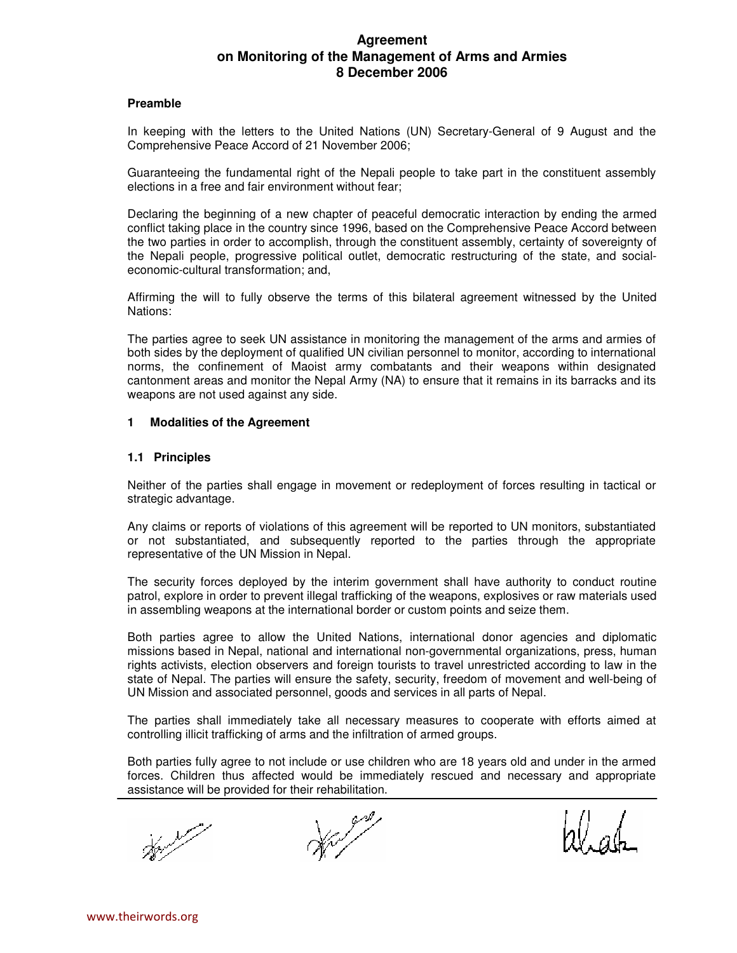# **Agreement on Monitoring of the Management of Arms and Armies 8 December 2006**

#### **Preamble**

In keeping with the letters to the United Nations (UN) Secretary-General of 9 August and the Comprehensive Peace Accord of 21 November 2006;

Guaranteeing the fundamental right of the Nepali people to take part in the constituent assembly elections in a free and fair environment without fear;

Declaring the beginning of a new chapter of peaceful democratic interaction by ending the armed conflict taking place in the country since 1996, based on the Comprehensive Peace Accord between the two parties in order to accomplish, through the constituent assembly, certainty of sovereignty of the Nepali people, progressive political outlet, democratic restructuring of the state, and socialeconomic-cultural transformation; and,

Affirming the will to fully observe the terms of this bilateral agreement witnessed by the United Nations:

The parties agree to seek UN assistance in monitoring the management of the arms and armies of both sides by the deployment of qualified UN civilian personnel to monitor, according to international norms, the confinement of Maoist army combatants and their weapons within designated cantonment areas and monitor the Nepal Army (NA) to ensure that it remains in its barracks and its weapons are not used against any side.

#### **1 Modalities of the Agreement**

#### **1.1 Principles**

Neither of the parties shall engage in movement or redeployment of forces resulting in tactical or strategic advantage.

Any claims or reports of violations of this agreement will be reported to UN monitors, substantiated or not substantiated, and subsequently reported to the parties through the appropriate representative of the UN Mission in Nepal.

The security forces deployed by the interim government shall have authority to conduct routine patrol, explore in order to prevent illegal trafficking of the weapons, explosives or raw materials used in assembling weapons at the international border or custom points and seize them.

Both parties agree to allow the United Nations, international donor agencies and diplomatic missions based in Nepal, national and international non-governmental organizations, press, human rights activists, election observers and foreign tourists to travel unrestricted according to law in the state of Nepal. The parties will ensure the safety, security, freedom of movement and well-being of UN Mission and associated personnel, goods and services in all parts of Nepal.

The parties shall immediately take all necessary measures to cooperate with efforts aimed at controlling illicit trafficking of arms and the infiltration of armed groups.

Both parties fully agree to not include or use children who are 18 years old and under in the armed forces. Children thus affected would be immediately rescued and necessary and appropriate assistance will be provided for their rehabilitation.

Herbert

**Barbara** 

zll, ab.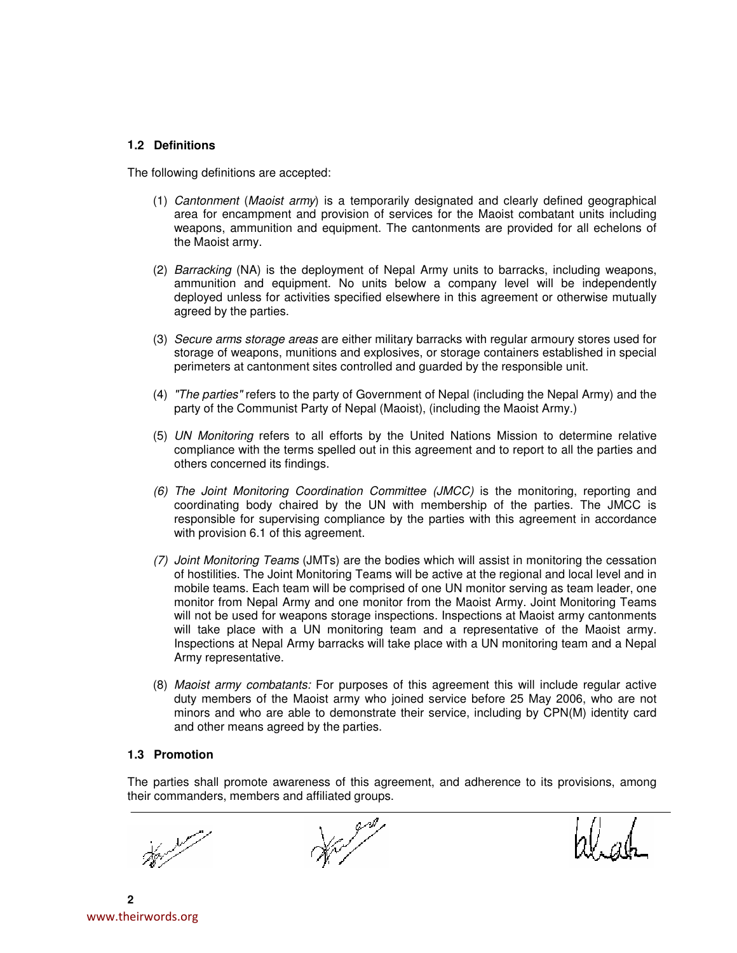### **1.2 Definitions**

The following definitions are accepted:

- (1) Cantonment (Maoist army) is a temporarily designated and clearly defined geographical area for encampment and provision of services for the Maoist combatant units including weapons, ammunition and equipment. The cantonments are provided for all echelons of the Maoist army.
- (2) Barracking (NA) is the deployment of Nepal Army units to barracks, including weapons, ammunition and equipment. No units below a company level will be independently deployed unless for activities specified elsewhere in this agreement or otherwise mutually agreed by the parties.
- (3) Secure arms storage areas are either military barracks with regular armoury stores used for storage of weapons, munitions and explosives, or storage containers established in special perimeters at cantonment sites controlled and guarded by the responsible unit.
- (4) "The parties" refers to the party of Government of Nepal (including the Nepal Army) and the party of the Communist Party of Nepal (Maoist), (including the Maoist Army.)
- (5) UN Monitoring refers to all efforts by the United Nations Mission to determine relative compliance with the terms spelled out in this agreement and to report to all the parties and others concerned its findings.
- (6) The Joint Monitoring Coordination Committee (JMCC) is the monitoring, reporting and coordinating body chaired by the UN with membership of the parties. The JMCC is responsible for supervising compliance by the parties with this agreement in accordance with provision 6.1 of this agreement.
- (7) Joint Monitoring Teams (JMTs) are the bodies which will assist in monitoring the cessation of hostilities. The Joint Monitoring Teams will be active at the regional and local level and in mobile teams. Each team will be comprised of one UN monitor serving as team leader, one monitor from Nepal Army and one monitor from the Maoist Army. Joint Monitoring Teams will not be used for weapons storage inspections. Inspections at Maoist army cantonments will take place with a UN monitoring team and a representative of the Maoist army. Inspections at Nepal Army barracks will take place with a UN monitoring team and a Nepal Army representative.
- (8) Maoist army combatants: For purposes of this agreement this will include regular active duty members of the Maoist army who joined service before 25 May 2006, who are not minors and who are able to demonstrate their service, including by CPN(M) identity card and other means agreed by the parties.

## **1.3 Promotion**

The parties shall promote awareness of this agreement, and adherence to its provisions, among their commanders, members and affiliated groups.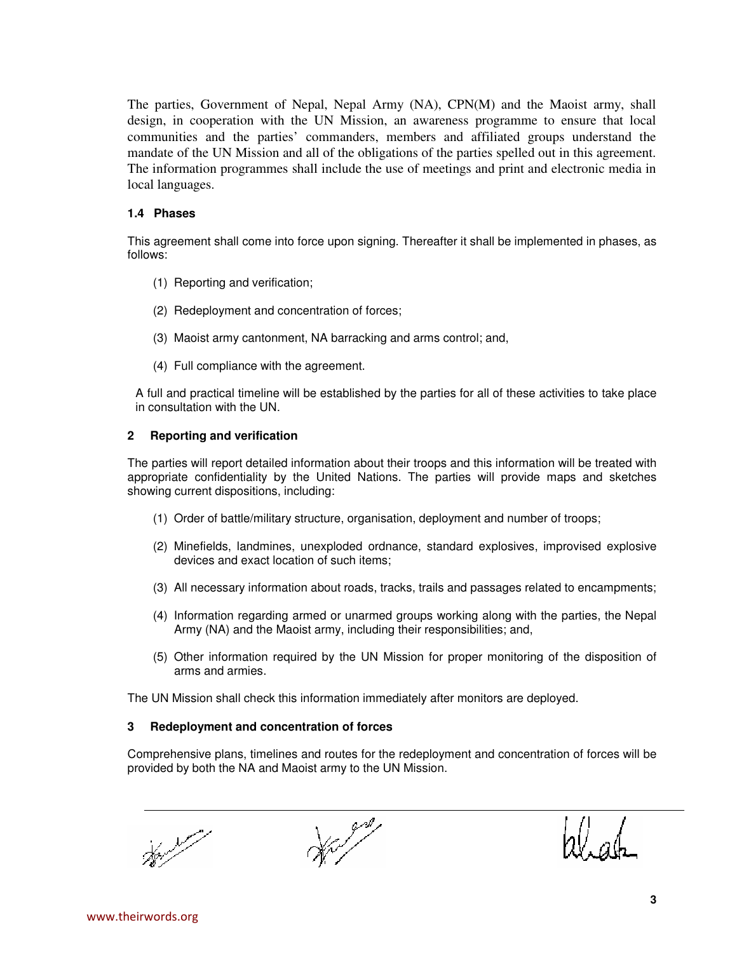The parties, Government of Nepal, Nepal Army (NA), CPN(M) and the Maoist army, shall design, in cooperation with the UN Mission, an awareness programme to ensure that local communities and the parties' commanders, members and affiliated groups understand the mandate of the UN Mission and all of the obligations of the parties spelled out in this agreement. The information programmes shall include the use of meetings and print and electronic media in local languages.

### **1.4 Phases**

This agreement shall come into force upon signing. Thereafter it shall be implemented in phases, as follows:

- (1) Reporting and verification;
- (2) Redeployment and concentration of forces;
- (3) Maoist army cantonment, NA barracking and arms control; and,
- (4) Full compliance with the agreement.

A full and practical timeline will be established by the parties for all of these activities to take place in consultation with the UN.

### **2 Reporting and verification**

The parties will report detailed information about their troops and this information will be treated with appropriate confidentiality by the United Nations. The parties will provide maps and sketches showing current dispositions, including:

- (1) Order of battle/military structure, organisation, deployment and number of troops;
- (2) Minefields, landmines, unexploded ordnance, standard explosives, improvised explosive devices and exact location of such items;
- (3) All necessary information about roads, tracks, trails and passages related to encampments;
- (4) Information regarding armed or unarmed groups working along with the parties, the Nepal Army (NA) and the Maoist army, including their responsibilities; and,
- (5) Other information required by the UN Mission for proper monitoring of the disposition of arms and armies.

The UN Mission shall check this information immediately after monitors are deployed.

### **3 Redeployment and concentration of forces**

Comprehensive plans, timelines and routes for the redeployment and concentration of forces will be provided by both the NA and Maoist army to the UN Mission.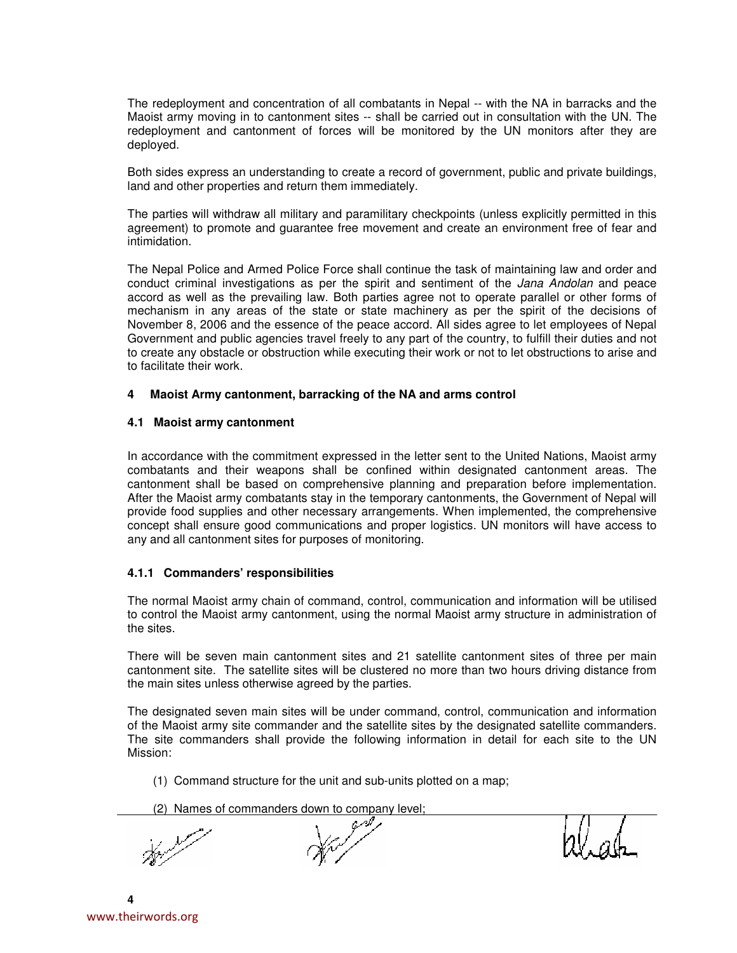The redeployment and concentration of all combatants in Nepal -- with the NA in barracks and the Maoist army moving in to cantonment sites -- shall be carried out in consultation with the UN. The redeployment and cantonment of forces will be monitored by the UN monitors after they are deployed.

Both sides express an understanding to create a record of government, public and private buildings, land and other properties and return them immediately.

The parties will withdraw all military and paramilitary checkpoints (unless explicitly permitted in this agreement) to promote and guarantee free movement and create an environment free of fear and intimidation.

The Nepal Police and Armed Police Force shall continue the task of maintaining law and order and conduct criminal investigations as per the spirit and sentiment of the *Jana Andolan* and peace accord as well as the prevailing law. Both parties agree not to operate parallel or other forms of mechanism in any areas of the state or state machinery as per the spirit of the decisions of November 8, 2006 and the essence of the peace accord. All sides agree to let employees of Nepal Government and public agencies travel freely to any part of the country, to fulfill their duties and not to create any obstacle or obstruction while executing their work or not to let obstructions to arise and to facilitate their work.

### **4 Maoist Army cantonment, barracking of the NA and arms control**

### **4.1 Maoist army cantonment**

In accordance with the commitment expressed in the letter sent to the United Nations, Maoist army combatants and their weapons shall be confined within designated cantonment areas. The cantonment shall be based on comprehensive planning and preparation before implementation. After the Maoist army combatants stay in the temporary cantonments, the Government of Nepal will provide food supplies and other necessary arrangements. When implemented, the comprehensive concept shall ensure good communications and proper logistics. UN monitors will have access to any and all cantonment sites for purposes of monitoring.

# **4.1.1 Commanders' responsibilities**

The normal Maoist army chain of command, control, communication and information will be utilised to control the Maoist army cantonment, using the normal Maoist army structure in administration of the sites.

There will be seven main cantonment sites and 21 satellite cantonment sites of three per main cantonment site. The satellite sites will be clustered no more than two hours driving distance from the main sites unless otherwise agreed by the parties.

The designated seven main sites will be under command, control, communication and information of the Maoist army site commander and the satellite sites by the designated satellite commanders. The site commanders shall provide the following information in detail for each site to the UN Mission:

(1) Command structure for the unit and sub-units plotted on a map;

(2) Names of commanders down to company level;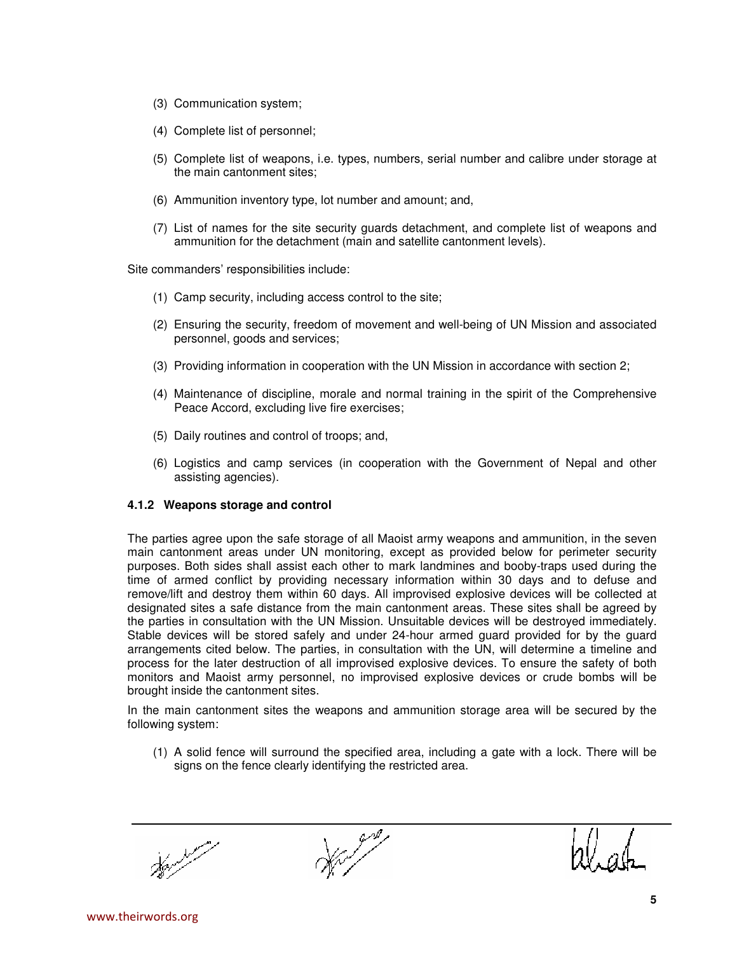- (3) Communication system;
- (4) Complete list of personnel;
- (5) Complete list of weapons, i.e. types, numbers, serial number and calibre under storage at the main cantonment sites;
- (6) Ammunition inventory type, lot number and amount; and,
- (7) List of names for the site security guards detachment, and complete list of weapons and ammunition for the detachment (main and satellite cantonment levels).

Site commanders' responsibilities include:

- (1) Camp security, including access control to the site;
- (2) Ensuring the security, freedom of movement and well-being of UN Mission and associated personnel, goods and services;
- (3) Providing information in cooperation with the UN Mission in accordance with section 2;
- (4) Maintenance of discipline, morale and normal training in the spirit of the Comprehensive Peace Accord, excluding live fire exercises;
- (5) Daily routines and control of troops; and,
- (6) Logistics and camp services (in cooperation with the Government of Nepal and other assisting agencies).

# **4.1.2 Weapons storage and control**

The parties agree upon the safe storage of all Maoist army weapons and ammunition, in the seven main cantonment areas under UN monitoring, except as provided below for perimeter security purposes. Both sides shall assist each other to mark landmines and booby-traps used during the time of armed conflict by providing necessary information within 30 days and to defuse and remove/lift and destroy them within 60 days. All improvised explosive devices will be collected at designated sites a safe distance from the main cantonment areas. These sites shall be agreed by the parties in consultation with the UN Mission. Unsuitable devices will be destroyed immediately. Stable devices will be stored safely and under 24-hour armed guard provided for by the guard arrangements cited below. The parties, in consultation with the UN, will determine a timeline and process for the later destruction of all improvised explosive devices. To ensure the safety of both monitors and Maoist army personnel, no improvised explosive devices or crude bombs will be brought inside the cantonment sites.

In the main cantonment sites the weapons and ammunition storage area will be secured by the following system:

(1) A solid fence will surround the specified area, including a gate with a lock. There will be signs on the fence clearly identifying the restricted area.

اللمحمر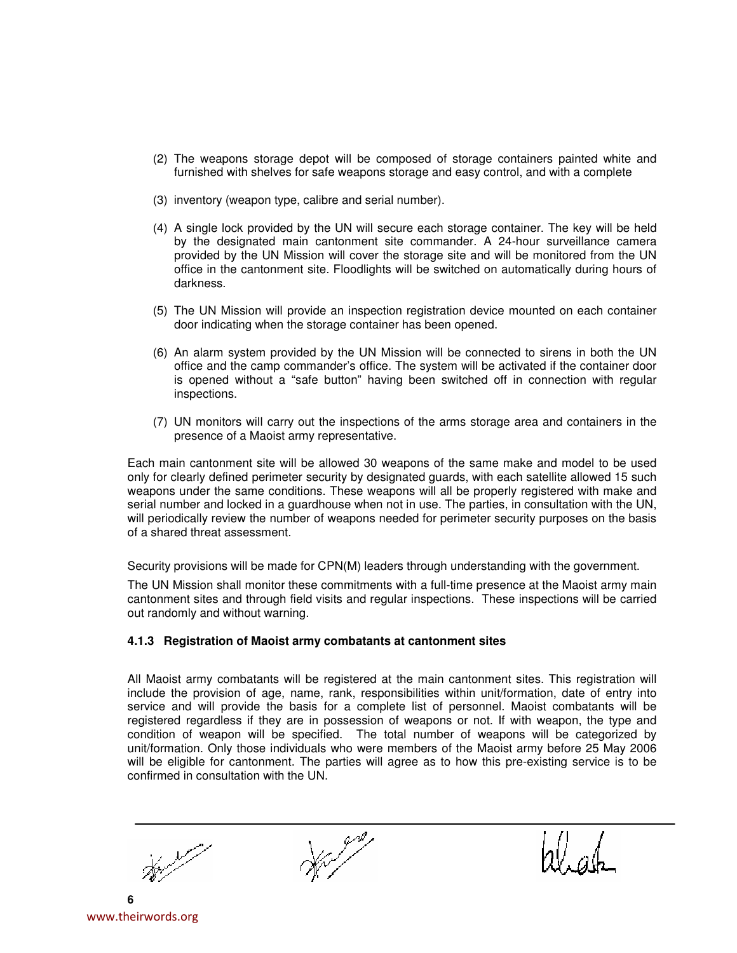- (2) The weapons storage depot will be composed of storage containers painted white and furnished with shelves for safe weapons storage and easy control, and with a complete
- (3) inventory (weapon type, calibre and serial number).
- (4) A single lock provided by the UN will secure each storage container. The key will be held by the designated main cantonment site commander. A 24-hour surveillance camera provided by the UN Mission will cover the storage site and will be monitored from the UN office in the cantonment site. Floodlights will be switched on automatically during hours of darkness.
- (5) The UN Mission will provide an inspection registration device mounted on each container door indicating when the storage container has been opened.
- (6) An alarm system provided by the UN Mission will be connected to sirens in both the UN office and the camp commander's office. The system will be activated if the container door is opened without a "safe button" having been switched off in connection with regular inspections.
- (7) UN monitors will carry out the inspections of the arms storage area and containers in the presence of a Maoist army representative.

Each main cantonment site will be allowed 30 weapons of the same make and model to be used only for clearly defined perimeter security by designated guards, with each satellite allowed 15 such weapons under the same conditions. These weapons will all be properly registered with make and serial number and locked in a guardhouse when not in use. The parties, in consultation with the UN, will periodically review the number of weapons needed for perimeter security purposes on the basis of a shared threat assessment.

Security provisions will be made for CPN(M) leaders through understanding with the government.

The UN Mission shall monitor these commitments with a full-time presence at the Maoist army main cantonment sites and through field visits and regular inspections. These inspections will be carried out randomly and without warning.

### **4.1.3 Registration of Maoist army combatants at cantonment sites**

All Maoist army combatants will be registered at the main cantonment sites. This registration will include the provision of age, name, rank, responsibilities within unit/formation, date of entry into service and will provide the basis for a complete list of personnel. Maoist combatants will be registered regardless if they are in possession of weapons or not. If with weapon, the type and condition of weapon will be specified. The total number of weapons will be categorized by unit/formation. Only those individuals who were members of the Maoist army before 25 May 2006 will be eligible for cantonment. The parties will agree as to how this pre-existing service is to be confirmed in consultation with the UN.

اللمحمر

**6** www.theirwords.org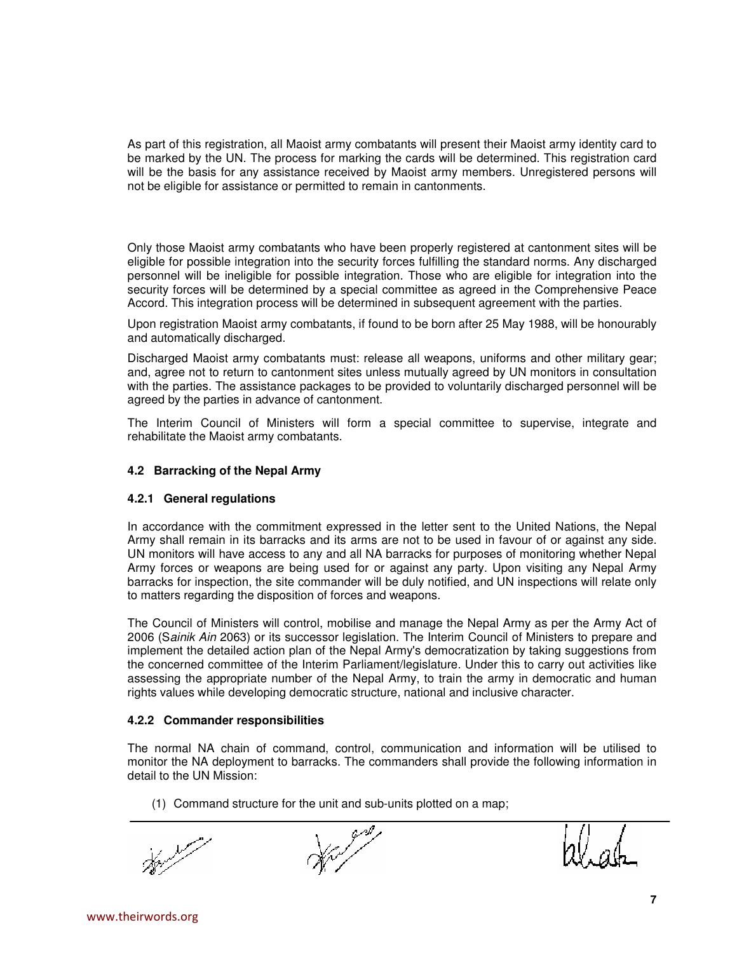As part of this registration, all Maoist army combatants will present their Maoist army identity card to be marked by the UN. The process for marking the cards will be determined. This registration card will be the basis for any assistance received by Maoist army members. Unregistered persons will not be eligible for assistance or permitted to remain in cantonments.

Only those Maoist army combatants who have been properly registered at cantonment sites will be eligible for possible integration into the security forces fulfilling the standard norms. Any discharged personnel will be ineligible for possible integration. Those who are eligible for integration into the security forces will be determined by a special committee as agreed in the Comprehensive Peace Accord. This integration process will be determined in subsequent agreement with the parties.

Upon registration Maoist army combatants, if found to be born after 25 May 1988, will be honourably and automatically discharged.

Discharged Maoist army combatants must: release all weapons, uniforms and other military gear; and, agree not to return to cantonment sites unless mutually agreed by UN monitors in consultation with the parties. The assistance packages to be provided to voluntarily discharged personnel will be agreed by the parties in advance of cantonment.

The Interim Council of Ministers will form a special committee to supervise, integrate and rehabilitate the Maoist army combatants.

## **4.2 Barracking of the Nepal Army**

### **4.2.1 General regulations**

In accordance with the commitment expressed in the letter sent to the United Nations, the Nepal Army shall remain in its barracks and its arms are not to be used in favour of or against any side. UN monitors will have access to any and all NA barracks for purposes of monitoring whether Nepal Army forces or weapons are being used for or against any party. Upon visiting any Nepal Army barracks for inspection, the site commander will be duly notified, and UN inspections will relate only to matters regarding the disposition of forces and weapons.

The Council of Ministers will control, mobilise and manage the Nepal Army as per the Army Act of 2006 (Sainik Ain 2063) or its successor legislation. The Interim Council of Ministers to prepare and implement the detailed action plan of the Nepal Army's democratization by taking suggestions from the concerned committee of the Interim Parliament/legislature. Under this to carry out activities like assessing the appropriate number of the Nepal Army, to train the army in democratic and human rights values while developing democratic structure, national and inclusive character.

### **4.2.2 Commander responsibilities**

The normal NA chain of command, control, communication and information will be utilised to monitor the NA deployment to barracks. The commanders shall provide the following information in detail to the UN Mission:

(1) Command structure for the unit and sub-units plotted on a map;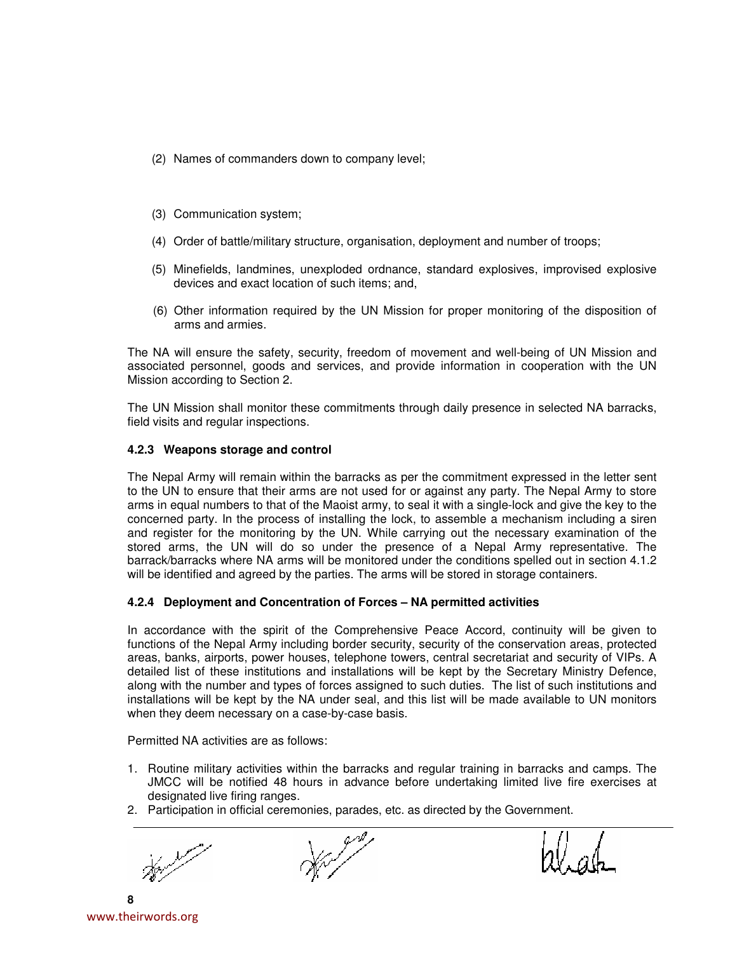- (2) Names of commanders down to company level;
- (3) Communication system;
- (4) Order of battle/military structure, organisation, deployment and number of troops;
- (5) Minefields, landmines, unexploded ordnance, standard explosives, improvised explosive devices and exact location of such items; and,
- (6) Other information required by the UN Mission for proper monitoring of the disposition of arms and armies.

The NA will ensure the safety, security, freedom of movement and well-being of UN Mission and associated personnel, goods and services, and provide information in cooperation with the UN Mission according to Section 2.

The UN Mission shall monitor these commitments through daily presence in selected NA barracks, field visits and regular inspections.

## **4.2.3 Weapons storage and control**

The Nepal Army will remain within the barracks as per the commitment expressed in the letter sent to the UN to ensure that their arms are not used for or against any party. The Nepal Army to store arms in equal numbers to that of the Maoist army, to seal it with a single-lock and give the key to the concerned party. In the process of installing the lock, to assemble a mechanism including a siren and register for the monitoring by the UN. While carrying out the necessary examination of the stored arms, the UN will do so under the presence of a Nepal Army representative. The barrack/barracks where NA arms will be monitored under the conditions spelled out in section 4.1.2 will be identified and agreed by the parties. The arms will be stored in storage containers.

# **4.2.4 Deployment and Concentration of Forces – NA permitted activities**

In accordance with the spirit of the Comprehensive Peace Accord, continuity will be given to functions of the Nepal Army including border security, security of the conservation areas, protected areas, banks, airports, power houses, telephone towers, central secretariat and security of VIPs. A detailed list of these institutions and installations will be kept by the Secretary Ministry Defence, along with the number and types of forces assigned to such duties. The list of such institutions and installations will be kept by the NA under seal, and this list will be made available to UN monitors when they deem necessary on a case-by-case basis.

Permitted NA activities are as follows:

- 1. Routine military activities within the barracks and regular training in barracks and camps. The JMCC will be notified 48 hours in advance before undertaking limited live fire exercises at designated live firing ranges.
- 2. Participation in official ceremonies, parades, etc. as directed by the Government.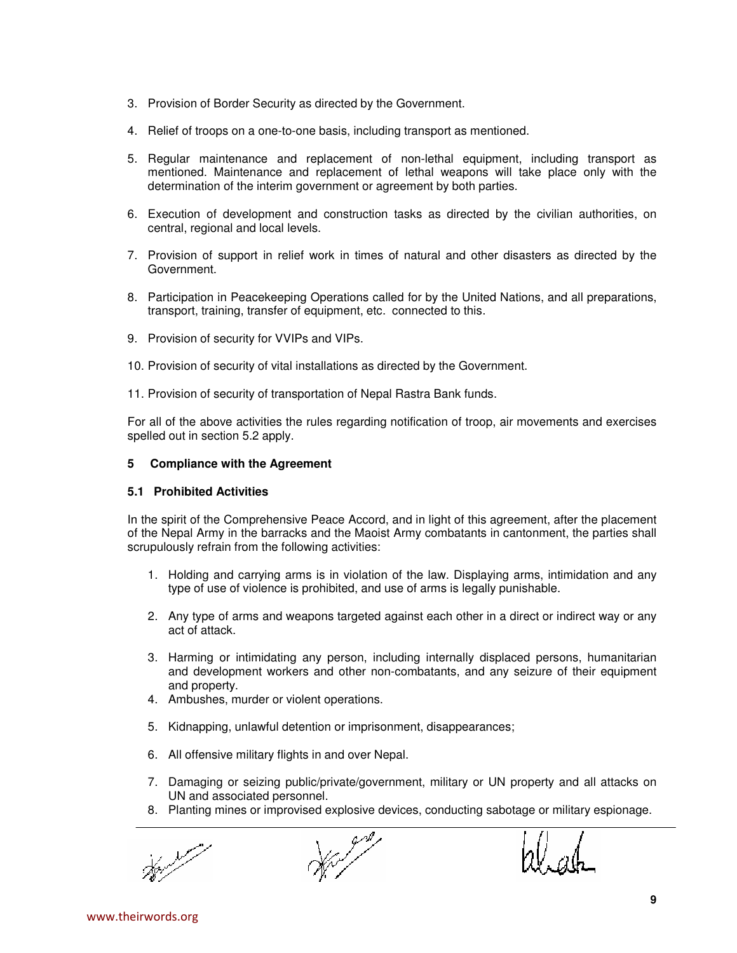- 3. Provision of Border Security as directed by the Government.
- 4. Relief of troops on a one-to-one basis, including transport as mentioned.
- 5. Regular maintenance and replacement of non-lethal equipment, including transport as mentioned. Maintenance and replacement of lethal weapons will take place only with the determination of the interim government or agreement by both parties.
- 6. Execution of development and construction tasks as directed by the civilian authorities, on central, regional and local levels.
- 7. Provision of support in relief work in times of natural and other disasters as directed by the Government.
- 8. Participation in Peacekeeping Operations called for by the United Nations, and all preparations, transport, training, transfer of equipment, etc. connected to this.
- 9. Provision of security for VVIPs and VIPs.
- 10. Provision of security of vital installations as directed by the Government.
- 11. Provision of security of transportation of Nepal Rastra Bank funds.

For all of the above activities the rules regarding notification of troop, air movements and exercises spelled out in section 5.2 apply.

## **5 Compliance with the Agreement**

### **5.1 Prohibited Activities**

In the spirit of the Comprehensive Peace Accord, and in light of this agreement, after the placement of the Nepal Army in the barracks and the Maoist Army combatants in cantonment, the parties shall scrupulously refrain from the following activities:

- 1. Holding and carrying arms is in violation of the law. Displaying arms, intimidation and any type of use of violence is prohibited, and use of arms is legally punishable.
- 2. Any type of arms and weapons targeted against each other in a direct or indirect way or any act of attack.
- 3. Harming or intimidating any person, including internally displaced persons, humanitarian and development workers and other non-combatants, and any seizure of their equipment and property.
- 4. Ambushes, murder or violent operations.
- 5. Kidnapping, unlawful detention or imprisonment, disappearances;
- 6. All offensive military flights in and over Nepal.
- 7. Damaging or seizing public/private/government, military or UN property and all attacks on UN and associated personnel.
- 8. Planting mines or improvised explosive devices, conducting sabotage or military espionage.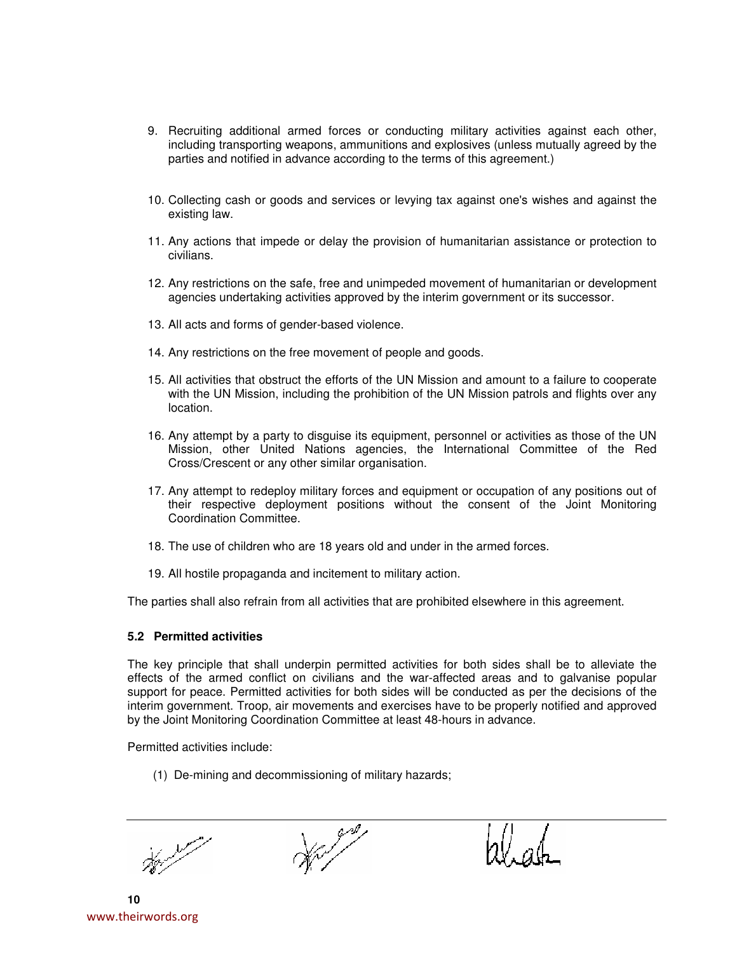- 9. Recruiting additional armed forces or conducting military activities against each other, including transporting weapons, ammunitions and explosives (unless mutually agreed by the parties and notified in advance according to the terms of this agreement.)
- 10. Collecting cash or goods and services or levying tax against one's wishes and against the existing law.
- 11. Any actions that impede or delay the provision of humanitarian assistance or protection to civilians.
- 12. Any restrictions on the safe, free and unimpeded movement of humanitarian or development agencies undertaking activities approved by the interim government or its successor.
- 13. All acts and forms of gender-based violence.
- 14. Any restrictions on the free movement of people and goods.
- 15. All activities that obstruct the efforts of the UN Mission and amount to a failure to cooperate with the UN Mission, including the prohibition of the UN Mission patrols and flights over any location.
- 16. Any attempt by a party to disguise its equipment, personnel or activities as those of the UN Mission, other United Nations agencies, the International Committee of the Red Cross/Crescent or any other similar organisation.
- 17. Any attempt to redeploy military forces and equipment or occupation of any positions out of their respective deployment positions without the consent of the Joint Monitoring Coordination Committee.
- 18. The use of children who are 18 years old and under in the armed forces.
- 19. All hostile propaganda and incitement to military action.

The parties shall also refrain from all activities that are prohibited elsewhere in this agreement.

### **5.2 Permitted activities**

The key principle that shall underpin permitted activities for both sides shall be to alleviate the effects of the armed conflict on civilians and the war-affected areas and to galvanise popular support for peace. Permitted activities for both sides will be conducted as per the decisions of the interim government. Troop, air movements and exercises have to be properly notified and approved by the Joint Monitoring Coordination Committee at least 48-hours in advance.

Permitted activities include:

(1) De-mining and decommissioning of military hazards;

**10** www.theirwords.org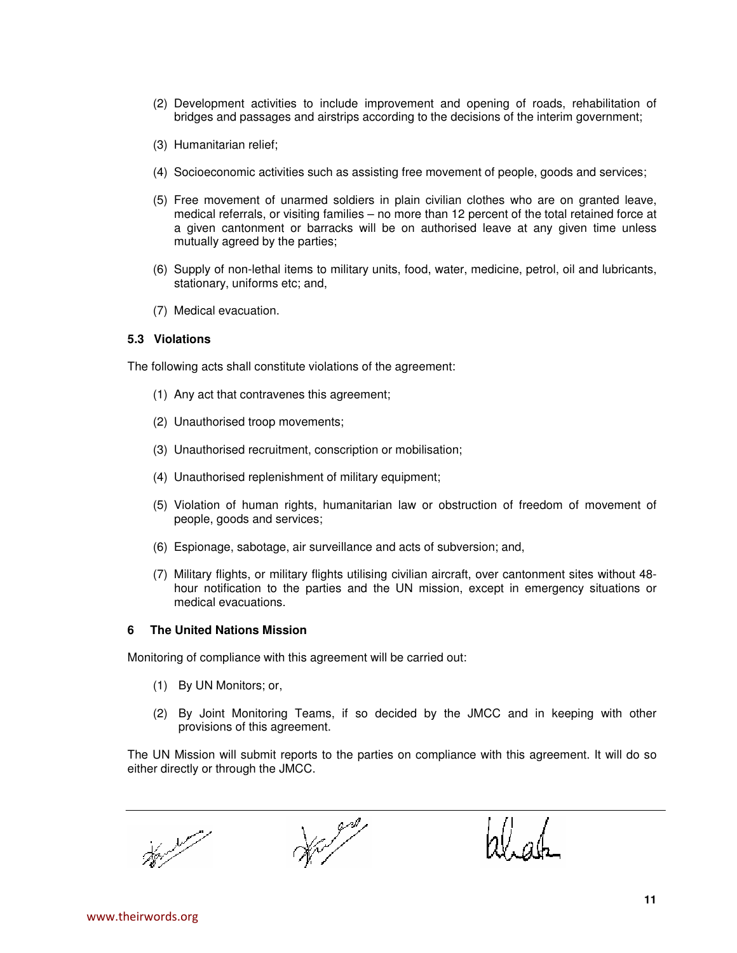- (2) Development activities to include improvement and opening of roads, rehabilitation of bridges and passages and airstrips according to the decisions of the interim government;
- (3) Humanitarian relief;
- (4) Socioeconomic activities such as assisting free movement of people, goods and services;
- (5) Free movement of unarmed soldiers in plain civilian clothes who are on granted leave, medical referrals, or visiting families – no more than 12 percent of the total retained force at a given cantonment or barracks will be on authorised leave at any given time unless mutually agreed by the parties;
- (6) Supply of non-lethal items to military units, food, water, medicine, petrol, oil and lubricants, stationary, uniforms etc; and,
- (7) Medical evacuation.

### **5.3 Violations**

The following acts shall constitute violations of the agreement:

- (1) Any act that contravenes this agreement;
- (2) Unauthorised troop movements;
- (3) Unauthorised recruitment, conscription or mobilisation;
- (4) Unauthorised replenishment of military equipment;
- (5) Violation of human rights, humanitarian law or obstruction of freedom of movement of people, goods and services;
- (6) Espionage, sabotage, air surveillance and acts of subversion; and,
- (7) Military flights, or military flights utilising civilian aircraft, over cantonment sites without 48 hour notification to the parties and the UN mission, except in emergency situations or medical evacuations.

#### **6 The United Nations Mission**

Monitoring of compliance with this agreement will be carried out:

- (1) By UN Monitors; or,
- (2) By Joint Monitoring Teams, if so decided by the JMCC and in keeping with other provisions of this agreement.

The UN Mission will submit reports to the parties on compliance with this agreement. It will do so either directly or through the JMCC.

rl. ah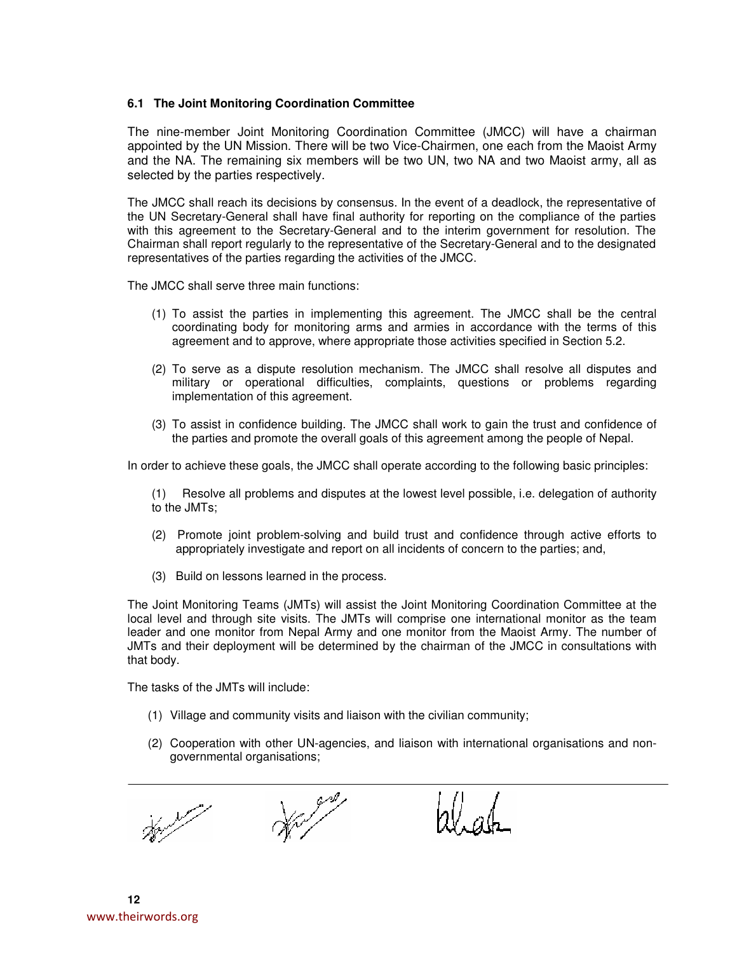## **6.1 The Joint Monitoring Coordination Committee**

The nine-member Joint Monitoring Coordination Committee (JMCC) will have a chairman appointed by the UN Mission. There will be two Vice-Chairmen, one each from the Maoist Army and the NA. The remaining six members will be two UN, two NA and two Maoist army, all as selected by the parties respectively.

The JMCC shall reach its decisions by consensus. In the event of a deadlock, the representative of the UN Secretary-General shall have final authority for reporting on the compliance of the parties with this agreement to the Secretary-General and to the interim government for resolution. The Chairman shall report regularly to the representative of the Secretary-General and to the designated representatives of the parties regarding the activities of the JMCC.

The JMCC shall serve three main functions:

- (1) To assist the parties in implementing this agreement. The JMCC shall be the central coordinating body for monitoring arms and armies in accordance with the terms of this agreement and to approve, where appropriate those activities specified in Section 5.2.
- (2) To serve as a dispute resolution mechanism. The JMCC shall resolve all disputes and military or operational difficulties, complaints, questions or problems regarding implementation of this agreement.
- (3) To assist in confidence building. The JMCC shall work to gain the trust and confidence of the parties and promote the overall goals of this agreement among the people of Nepal.

In order to achieve these goals, the JMCC shall operate according to the following basic principles:

(1) Resolve all problems and disputes at the lowest level possible, i.e. delegation of authority to the JMTs;

- (2) Promote joint problem-solving and build trust and confidence through active efforts to appropriately investigate and report on all incidents of concern to the parties; and,
- (3) Build on lessons learned in the process.

The Joint Monitoring Teams (JMTs) will assist the Joint Monitoring Coordination Committee at the local level and through site visits. The JMTs will comprise one international monitor as the team leader and one monitor from Nepal Army and one monitor from the Maoist Army. The number of JMTs and their deployment will be determined by the chairman of the JMCC in consultations with that body.

The tasks of the JMTs will include:

- (1) Village and community visits and liaison with the civilian community;
- (2) Cooperation with other UN-agencies, and liaison with international organisations and nongovernmental organisations;